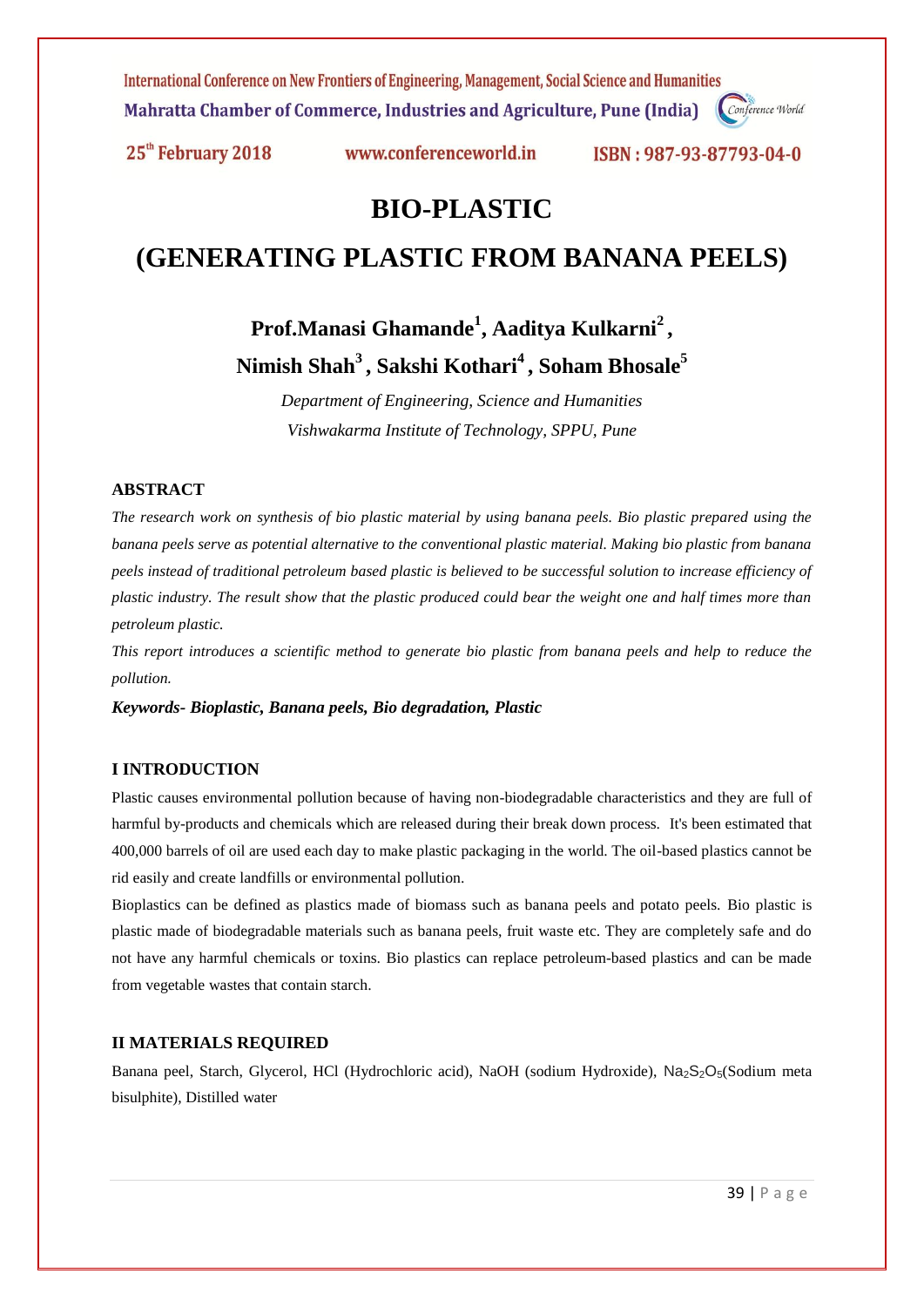International Conference on New Frontiers of Engineering, Management, Social Science and Humanities Mahratta Chamber of Commerce, Industries and Agriculture, Pune (India) Conference World

25<sup>th</sup> February 2018

www.conferenceworld.in

ISBN: 987-93-87793-04-0

## **BIO-PLASTIC**

# **(GENERATING PLASTIC FROM BANANA PEELS)**

**Prof.Manasi Ghamande<sup>1</sup> , Aaditya Kulkarni<sup>2</sup> , Nimish Shah<sup>3</sup>, Sakshi Kothari<sup>4</sup>, Soham Bhosale<sup>5</sup>**

> *Department of Engineering, Science and Humanities Vishwakarma Institute of Technology, SPPU, Pune*

## **ABSTRACT**

*The research work on synthesis of bio plastic material by using banana peels. Bio plastic prepared using the banana peels serve as potential alternative to the conventional plastic material. Making bio plastic from banana peels instead of traditional petroleum based plastic is believed to be successful solution to increase efficiency of plastic industry. The result show that the plastic produced could bear the weight one and half times more than petroleum plastic.*

*This report introduces a scientific method to generate bio plastic from banana peels and help to reduce the pollution.*

*Keywords- Bioplastic, Banana peels, Bio degradation, Plastic*

## **I INTRODUCTION**

Plastic causes environmental pollution because of having non-biodegradable characteristics and they are full of harmful by-products and chemicals which are released during their break down process. It's been estimated that 400,000 barrels of oil are used each day to make plastic packaging in the world. The oil-based plastics cannot be rid easily and create landfills or environmental pollution.

Bioplastics can be defined as plastics made of biomass such as banana peels and potato peels. Bio plastic is plastic made of biodegradable materials such as banana peels, fruit waste etc. They are completely safe and do not have any harmful chemicals or toxins. Bio plastics can replace petroleum-based plastics and can be made from vegetable wastes that contain starch.

#### **II MATERIALS REQUIRED**

Banana peel, Starch, Glycerol, HCl (Hydrochloric acid), NaOH (sodium Hydroxide), Na<sub>2</sub>S<sub>2</sub>O<sub>5</sub>(Sodium meta bisulphite), Distilled water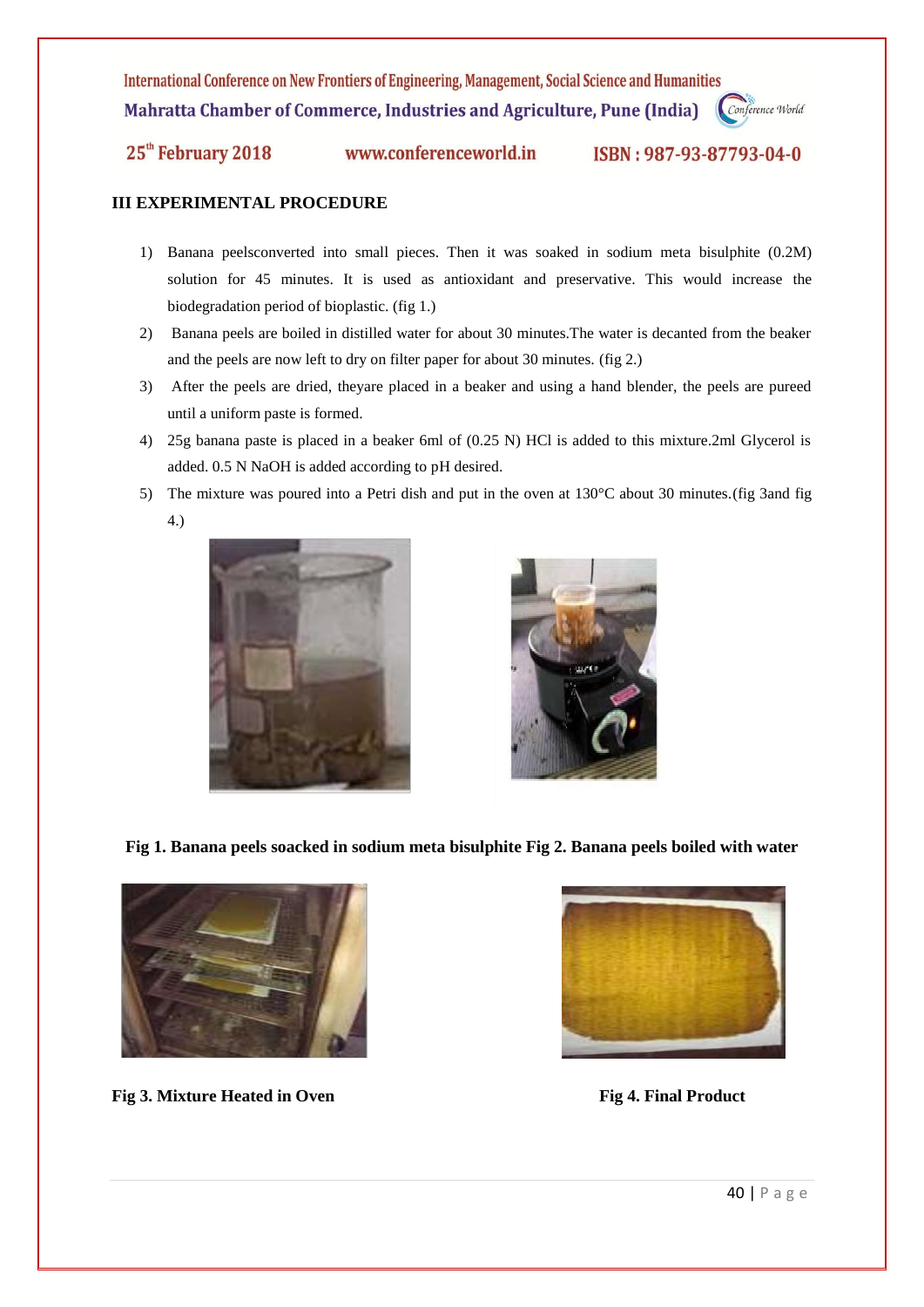International Conference on New Frontiers of Engineering, Management, Social Science and Humanities Mahratta Chamber of Commerce, Industries and Agriculture, Pune (India)

Conference World

25<sup>th</sup> February 2018

www.conferenceworld.in

ISBN: 987-93-87793-04-0

## **III EXPERIMENTAL PROCEDURE**

- 1) Banana peelsconverted into small pieces. Then it was soaked in sodium meta bisulphite (0.2M) solution for 45 minutes. It is used as antioxidant and preservative. This would increase the biodegradation period of bioplastic. (fig 1.)
- 2) Banana peels are boiled in distilled water for about 30 minutes.The water is decanted from the beaker and the peels are now left to dry on filter paper for about 30 minutes. (fig 2.)
- 3) After the peels are dried, theyare placed in a beaker and using a hand blender, the peels are pureed until a uniform paste is formed.
- 4) 25g banana paste is placed in a beaker 6ml of (0.25 N) HCl is added to this mixture.2ml Glycerol is added. 0.5 N NaOH is added according to pH desired.
- 5) The mixture was poured into a Petri dish and put in the oven at 130°C about 30 minutes.(fig 3and fig 4.)





**Fig 1. Banana peels soacked in sodium meta bisulphite Fig 2. Banana peels boiled with water**



**Fig 3.** Mixture Heated in Oven **Fig 4. Final Product Fig 4.** Final Product

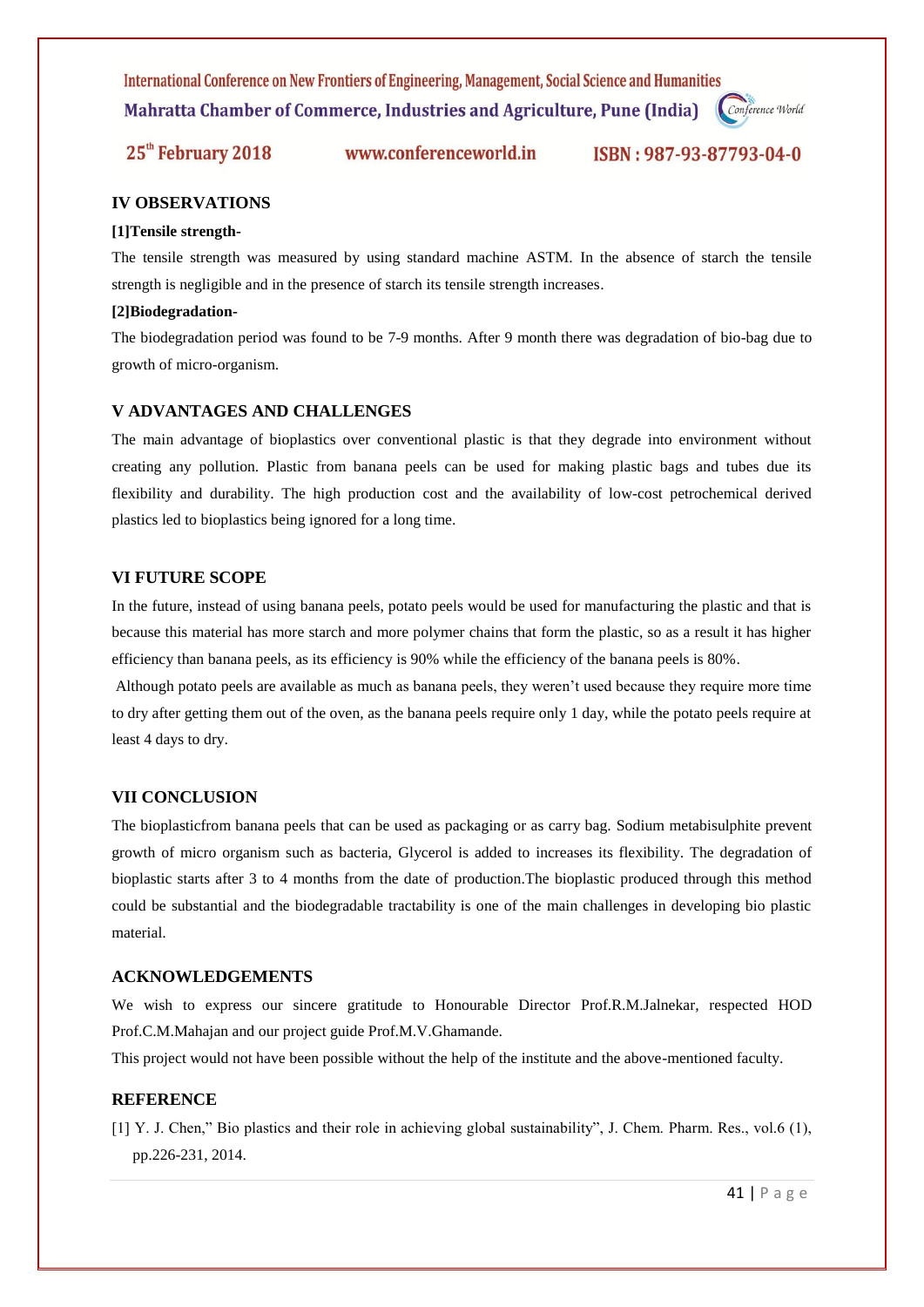International Conference on New Frontiers of Engineering, Management, Social Science and Humanities Mahratta Chamber of Commerce, Industries and Agriculture, Pune (India)

Conference World

25<sup>th</sup> February 2018 www.conferenceworld.in

ISBN: 987-93-87793-04-0

## **IV OBSERVATIONS**

#### **[1]Tensile strength-**

The tensile strength was measured by using standard machine ASTM. In the absence of starch the tensile strength is negligible and in the presence of starch its tensile strength increases.

#### **[2]Biodegradation-**

The biodegradation period was found to be 7-9 months. After 9 month there was degradation of bio-bag due to growth of micro-organism.

#### **V ADVANTAGES AND CHALLENGES**

The main advantage of bioplastics over conventional plastic is that they degrade into environment without creating any pollution. Plastic from banana peels can be used for making plastic bags and tubes due its flexibility and durability. The high production cost and the availability of low-cost petrochemical derived plastics led to bioplastics being ignored for a long time.

## **VI FUTURE SCOPE**

In the future, instead of using banana peels, potato peels would be used for manufacturing the plastic and that is because this material has more starch and more polymer chains that form the plastic, so as a result it has higher efficiency than banana peels, as its efficiency is 90% while the efficiency of the banana peels is 80%.

Although potato peels are available as much as banana peels, they weren't used because they require more time to dry after getting them out of the oven, as the banana peels require only 1 day, while the potato peels require at least 4 days to dry.

#### **VII CONCLUSION**

The bioplasticfrom banana peels that can be used as packaging or as carry bag. Sodium metabisulphite prevent growth of micro organism such as bacteria, Glycerol is added to increases its flexibility. The degradation of bioplastic starts after 3 to 4 months from the date of production.The bioplastic produced through this method could be substantial and the biodegradable tractability is one of the main challenges in developing bio plastic material.

#### **ACKNOWLEDGEMENTS**

We wish to express our sincere gratitude to Honourable Director Prof.R.M.Jalnekar, respected HOD Prof.C.M.Mahajan and our project guide Prof.M.V.Ghamande.

This project would not have been possible without the help of the institute and the above-mentioned faculty.

## **REFERENCE**

[1] Y. J. Chen," Bio plastics and their role in achieving global sustainability", J. Chem. Pharm. Res., vol.6 (1), pp.226-231, 2014.